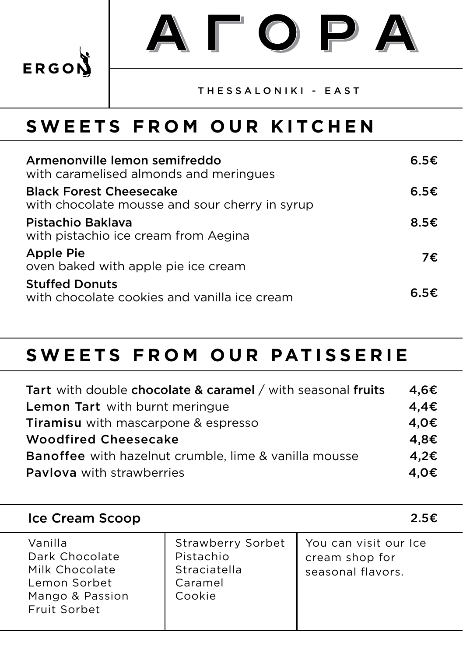

ATOPA

## THESSALONIKI - EAST

## **SWEETS FROM OUR KITCHEN**

| Armenonville lemon semifreddo<br>with caramelised almonds and meringues          | 6.5€           |
|----------------------------------------------------------------------------------|----------------|
| <b>Black Forest Cheesecake</b><br>with chocolate mousse and sour cherry in syrup | 6.5E           |
| Pistachio Baklava<br>with pistachio ice cream from Aegina                        | 8.5 $\epsilon$ |
| <b>Apple Pie</b><br>oven baked with apple pie ice cream                          | 7€.            |
| <b>Stuffed Donuts</b><br>with chocolate cookies and vanilla ice cream            | 6.5€           |

## **SWEETS FROM OUR PATISSERIE**

| Tart with double chocolate & caramel / with seasonal fruits | 4,6€ |
|-------------------------------------------------------------|------|
| Lemon Tart with burnt meringue                              | 4,4€ |
| <b>Tiramisu</b> with mascarpone & espresso                  | 4,0€ |
| <b>Woodfired Cheesecake</b>                                 | 4,8€ |
| Banoffee with hazelnut crumble, lime & vanilla mousse       | 4.2€ |
| <b>Pavlova</b> with strawberries                            | 4.0€ |

| Ice Cream Scoop                                                                                |                                                                            | 2.5€                                                         |
|------------------------------------------------------------------------------------------------|----------------------------------------------------------------------------|--------------------------------------------------------------|
| Vanilla<br>Dark Chocolate<br>Milk Chocolate<br>Lemon Sorbet<br>Mango & Passion<br>Fruit Sorbet | <b>Strawberry Sorbet</b><br>Pistachio<br>Straciatella<br>Caramel<br>Cookie | You can visit our Ice<br>cream shop for<br>seasonal flavors. |